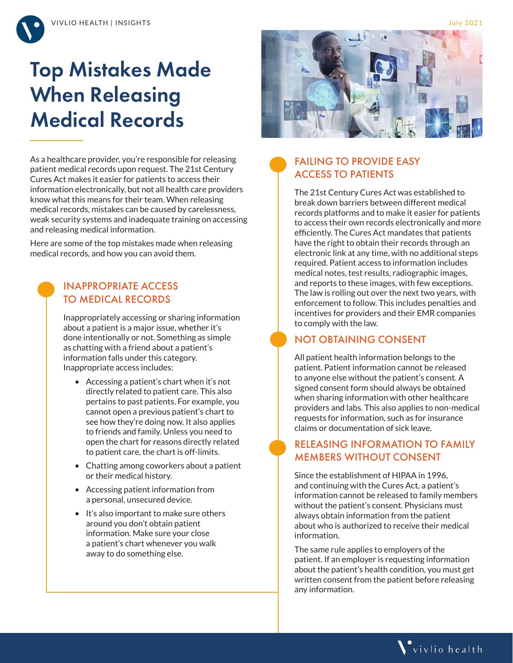

# Top Mistakes Made When Releasing Medical Records

As a healthcare provider, you're responsible for releasing patient medical records upon request. The 21st Century Cures Act makes it easier for patients to access their information electronically, but not all health care providers know what this means for their team. When releasing medical records, mistakes can be caused by carelessness, weak security systems and inadequate training on accessing and releasing medical information.

Here are some of the top mistakes made when releasing medical records, and how you can avoid them.

#### INAPPROPRIATE ACCESS TO MEDICAL RECORDS

Inappropriately accessing or sharing information about a patient is a major issue, whether it's done intentionally or not. Something as simple as chatting with a friend about a patient's information falls under this category. Inappropriate access includes:

- Accessing a patient's chart when it's not directly related to patient care. This also pertains to past patients. For example, you cannot open a previous patient's chart to see how they're doing now. It also applies to friends and family. Unless you need to open the chart for reasons directly related to patient care, the chart is off-limits.
- Chatting among coworkers about a patient or their medical history.
- Accessing patient information from a personal, unsecured device.
- It's also important to make sure others around you don't obtain patient information. Make sure your close a patient's chart whenever you walk away to do something else.



#### FAILING TO PROVIDE EASY ACCESS TO PATIENTS

The 21st Century Cures Act was established to break down barriers between different medical records platforms and to make it easier for patients to access their own records electronically and more efficiently. The Cures Act mandates that patients have the right to obtain their records through an electronic link at any time, with no additional steps required. Patient access to information includes medical notes, test results, radiographic images, and reports to these images, with few exceptions. The law is rolling out over the next two years, with enforcement to follow. This includes penalties and incentives for providers and their EMR companies to comply with the law.

#### NOT OBTAINING CONSENT

All patient health information belongs to the patient. Patient information cannot be released to anyone else without the patient's consent. A signed consent form should always be obtained when sharing information with other healthcare providers and labs. This also applies to non-medical requests for information, such as for insurance claims or documentation of sick leave.

#### RELEASING INFORMATION TO FAMILY MEMBERS WITHOUT CONSENT

Since the establishment of HIPAA in 1996, and continuing with the Cures Act, a patient's information cannot be released to family members without the patient's consent. Physicians must always obtain information from the patient about who is authorized to receive their medical information.

The same rule applies to employers of the patient. If an employer is requesting information about the patient's health condition, you must get written consent from the patient before releasing any information.